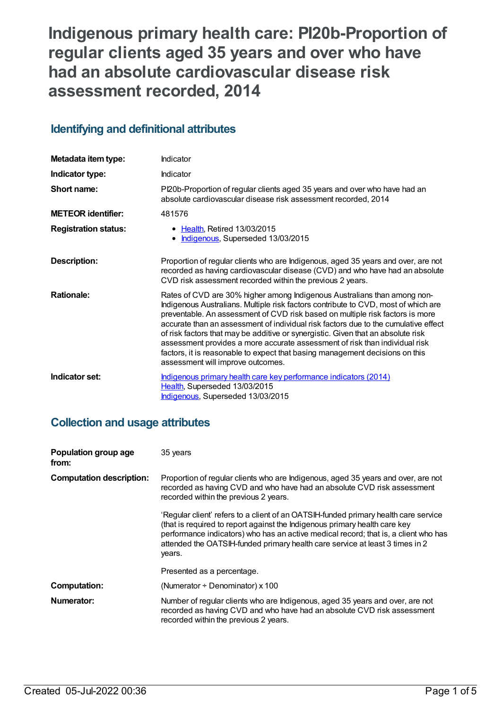**Indigenous primary health care: PI20b-Proportion of regular clients aged 35 years and over who have had an absolute cardiovascular disease risk assessment recorded, 2014**

# **Identifying and definitional attributes**

| Metadata item type:         | Indicator                                                                                                                                                                                                                                                                                                                                                                                                                                                                                                                                                                                                                      |
|-----------------------------|--------------------------------------------------------------------------------------------------------------------------------------------------------------------------------------------------------------------------------------------------------------------------------------------------------------------------------------------------------------------------------------------------------------------------------------------------------------------------------------------------------------------------------------------------------------------------------------------------------------------------------|
| Indicator type:             | Indicator                                                                                                                                                                                                                                                                                                                                                                                                                                                                                                                                                                                                                      |
| Short name:                 | PI20b-Proportion of regular clients aged 35 years and over who have had an<br>absolute cardiovascular disease risk assessment recorded, 2014                                                                                                                                                                                                                                                                                                                                                                                                                                                                                   |
| <b>METEOR identifier:</b>   | 481576                                                                                                                                                                                                                                                                                                                                                                                                                                                                                                                                                                                                                         |
| <b>Registration status:</b> | • Health, Retired 13/03/2015<br>• Indigenous, Superseded 13/03/2015                                                                                                                                                                                                                                                                                                                                                                                                                                                                                                                                                            |
| <b>Description:</b>         | Proportion of regular clients who are Indigenous, aged 35 years and over, are not<br>recorded as having cardiovascular disease (CVD) and who have had an absolute<br>CVD risk assessment recorded within the previous 2 years.                                                                                                                                                                                                                                                                                                                                                                                                 |
| <b>Rationale:</b>           | Rates of CVD are 30% higher among Indigenous Australians than among non-<br>Indigenous Australians. Multiple risk factors contribute to CVD, most of which are<br>preventable. An assessment of CVD risk based on multiple risk factors is more<br>accurate than an assessment of individual risk factors due to the cumulative effect<br>of risk factors that may be additive or synergistic. Given that an absolute risk<br>assessment provides a more accurate assessment of risk than individual risk<br>factors, it is reasonable to expect that basing management decisions on this<br>assessment will improve outcomes. |
| Indicator set:              | Indigenous primary health care key performance indicators (2014)<br>Health, Superseded 13/03/2015<br>Indigenous, Superseded 13/03/2015                                                                                                                                                                                                                                                                                                                                                                                                                                                                                         |

# **Collection and usage attributes**

| Population group age<br>from:   | 35 years                                                                                                                                                                                                                                                                                                                                           |
|---------------------------------|----------------------------------------------------------------------------------------------------------------------------------------------------------------------------------------------------------------------------------------------------------------------------------------------------------------------------------------------------|
| <b>Computation description:</b> | Proportion of regular clients who are Indigenous, aged 35 years and over, are not<br>recorded as having CVD and who have had an absolute CVD risk assessment<br>recorded within the previous 2 years.                                                                                                                                              |
|                                 | 'Regular client' refers to a client of an OATSIH-funded primary health care service<br>(that is required to report against the Indigenous primary health care key<br>performance indicators) who has an active medical record; that is, a client who has<br>attended the OATSIH-funded primary health care service at least 3 times in 2<br>vears. |
|                                 | Presented as a percentage.                                                                                                                                                                                                                                                                                                                         |
| <b>Computation:</b>             | (Numerator $\div$ Denominator) x 100                                                                                                                                                                                                                                                                                                               |
| Numerator:                      | Number of regular clients who are Indigenous, aged 35 years and over, are not<br>recorded as having CVD and who have had an absolute CVD risk assessment<br>recorded within the previous 2 years.                                                                                                                                                  |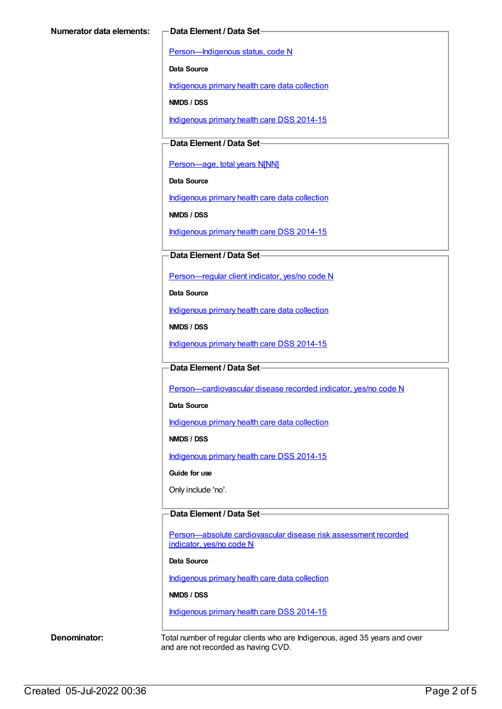[Person—Indigenous](https://meteor.aihw.gov.au/content/291036) status, code N

**Data Source**

[Indigenous](https://meteor.aihw.gov.au/content/430643) primary health care data collection

**NMDS / DSS**

[Indigenous](https://meteor.aihw.gov.au/content/504325) primary health care DSS 2014-15

### **Data Element / Data Set**

[Person—age,](https://meteor.aihw.gov.au/content/303794) total years N[NN]

**Data Source**

[Indigenous](https://meteor.aihw.gov.au/content/430643) primary health care data collection

**NMDS / DSS**

[Indigenous](https://meteor.aihw.gov.au/content/504325) primary health care DSS 2014-15

### **Data Element / Data Set**

[Person—regular](https://meteor.aihw.gov.au/content/436639) client indicator, yes/no code N

**Data Source**

[Indigenous](https://meteor.aihw.gov.au/content/430643) primary health care data collection

**NMDS / DSS**

[Indigenous](https://meteor.aihw.gov.au/content/504325) primary health care DSS 2014-15

### **Data Element / Data Set**

Person-cardiovascular disease recorded indicator, yes/no code N

**Data Source**

[Indigenous](https://meteor.aihw.gov.au/content/430643) primary health care data collection

**NMDS / DSS**

[Indigenous](https://meteor.aihw.gov.au/content/504325) primary health care DSS 2014-15

**Guide for use**

Only include 'no'.

### **Data Element / Data Set**

[Person—absolute](https://meteor.aihw.gov.au/content/503024) cardiovascular disease risk assessment recorded indicator, yes/no code N

#### **Data Source**

[Indigenous](https://meteor.aihw.gov.au/content/430643) primary health care data collection

#### **NMDS / DSS**

[Indigenous](https://meteor.aihw.gov.au/content/504325) primary health care DSS 2014-15

**Denominator:** Total number of regular clients who are Indigenous, aged 35 years and over and are not recorded as having CVD.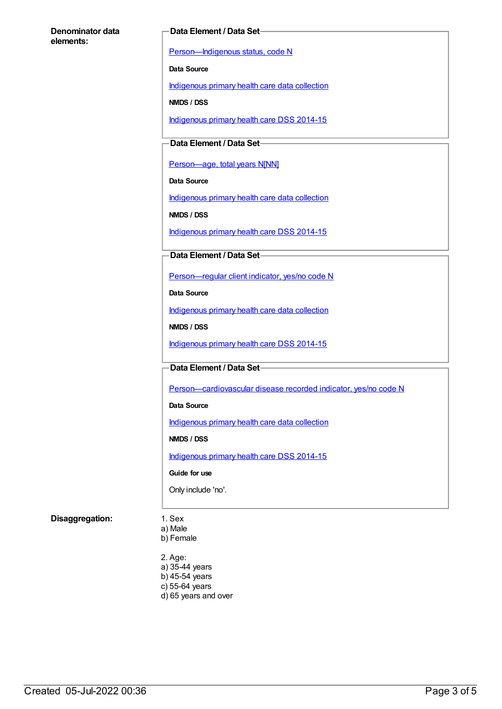#### **Denominator data elements:**

#### **Data Element / Data Set**

[Person—Indigenous](https://meteor.aihw.gov.au/content/291036) status, code N

**Data Source**

[Indigenous](https://meteor.aihw.gov.au/content/430643) primary health care data collection

**NMDS / DSS**

[Indigenous](https://meteor.aihw.gov.au/content/504325) primary health care DSS 2014-15

**Data Element / Data Set**

[Person—age,](https://meteor.aihw.gov.au/content/303794) total years N[NN]

**Data Source**

[Indigenous](https://meteor.aihw.gov.au/content/430643) primary health care data collection

**NMDS / DSS**

[Indigenous](https://meteor.aihw.gov.au/content/504325) primary health care DSS 2014-15

### **Data Element / Data Set**

[Person—regular](https://meteor.aihw.gov.au/content/436639) client indicator, yes/no code N

**Data Source**

[Indigenous](https://meteor.aihw.gov.au/content/430643) primary health care data collection

**NMDS / DSS**

[Indigenous](https://meteor.aihw.gov.au/content/504325) primary health care DSS 2014-15

#### **Data Element / Data Set**

[Person—cardiovascular](https://meteor.aihw.gov.au/content/465948) disease recorded indicator, yes/no code N

**Data Source**

[Indigenous](https://meteor.aihw.gov.au/content/430643) primary health care data collection

**NMDS / DSS**

[Indigenous](https://meteor.aihw.gov.au/content/504325) primary health care DSS 2014-15

**Guide for use**

Only include 'no'.

### **Disaggregation:** 1. Sex

a) Male

b) Female

2. Age:

- a) 35-44 years
- b) 45-54 years
- c) 55-64 years
- d) 65 years and over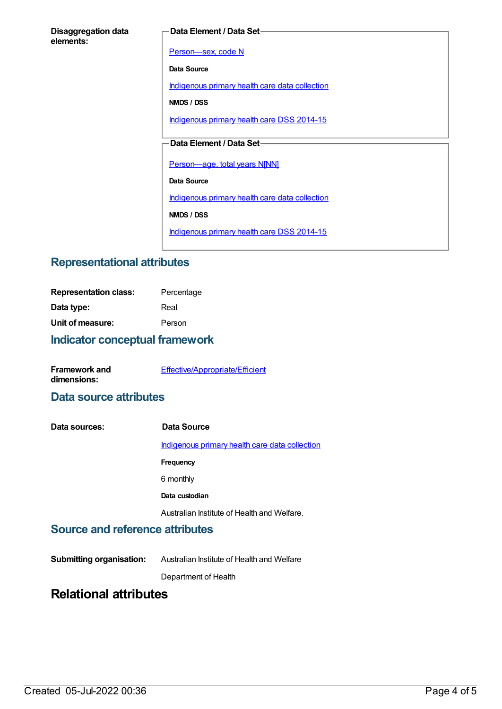| <b>Disaggregation data</b> |  |
|----------------------------|--|
| elements:                  |  |

#### **Data Element / Data Set**

Person-sex, code N

**Data Source**

[Indigenous](https://meteor.aihw.gov.au/content/430643) primary health care data collection

**NMDS / DSS**

[Indigenous](https://meteor.aihw.gov.au/content/504325) primary health care DSS 2014-15

## **Data Element / Data Set**

[Person—age,](https://meteor.aihw.gov.au/content/303794) total years N[NN]

**Data Source**

[Indigenous](https://meteor.aihw.gov.au/content/430643) primary health care data collection

**NMDS / DSS**

[Indigenous](https://meteor.aihw.gov.au/content/504325) primary health care DSS 2014-15

# **Representational attributes**

| <b>Representation class:</b> | Percentage |
|------------------------------|------------|
| Data type:                   | Real       |
| Unit of measure:             | Person     |
|                              |            |

## **Indicator conceptual framework**

| <b>Framework and</b> | Effective/Appropriate/Efficient |
|----------------------|---------------------------------|
| dimensions:          |                                 |

## **Data source attributes**

| Data sources: | Data Source                                    |
|---------------|------------------------------------------------|
|               | Indigenous primary health care data collection |
|               | Frequency                                      |
|               | 6 monthly                                      |
|               | Data custodian                                 |
|               | Australian Institute of Health and Welfare.    |

## **Source and reference attributes**

**Submitting organisation:** Australian Institute of Health and Welfare

Department of Health

# **Relational attributes**